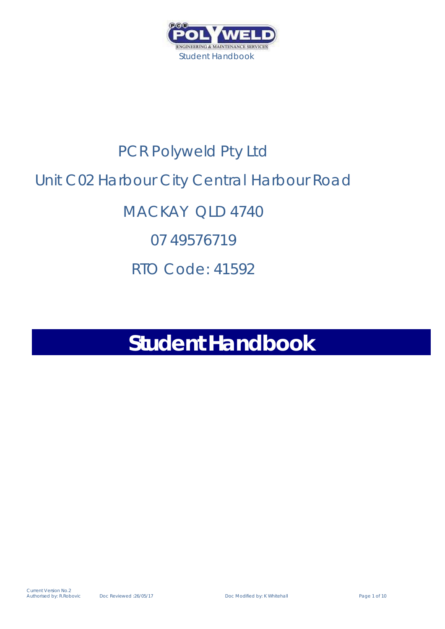

# PCR Polyweld Pty Ltd Unit C02 Harbour City Central Harbour Road MACKAY QLD 4740 07 49576719 RTO Code: 41592

## **Student Handbook**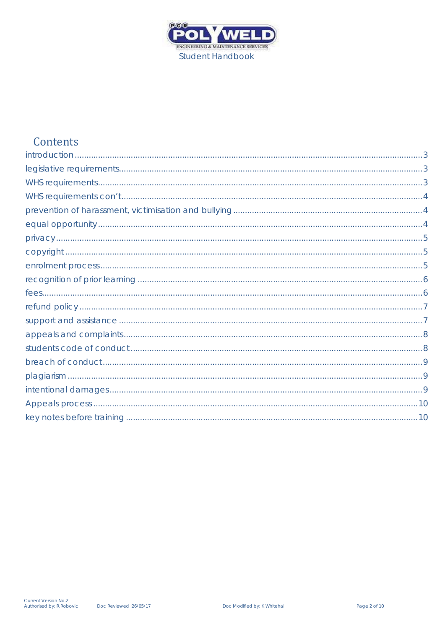

### Contents

| . 3 |
|-----|
|     |
|     |
|     |
| 5   |
|     |
|     |
|     |
|     |
|     |
|     |
|     |
|     |
|     |
|     |
|     |
|     |
|     |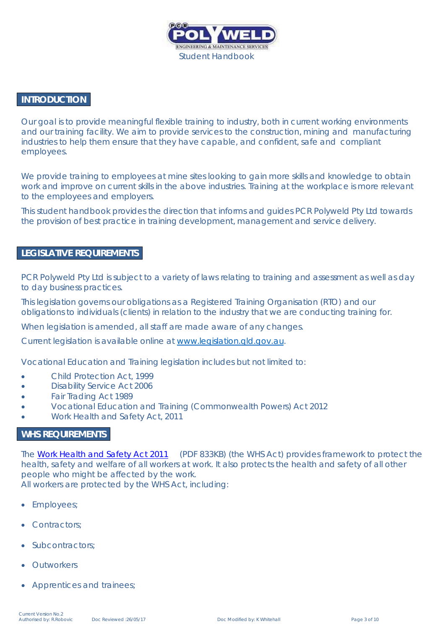

#### <span id="page-2-0"></span>**INTRODUCTION**

Our goal is to provide meaningful flexible training to industry, both in current working environments and our training facility. We aim to provide services to the construction, mining and manufacturing industries to help them ensure that they have capable, and confident, safe and compliant employees.

We provide training to employees at mine sites looking to gain more skills and knowledge to obtain work and improve on current skills in the above industries. Training at the workplace is more relevant to the employees and employers.

This student handbook provides the direction that informs and guides PCR Polyweld Pty Ltd towards the provision of best practice in training development, management and service delivery.

#### <span id="page-2-1"></span>**LEGISLATIVE REQUIREMENTS**

PCR Polyweld Pty Ltd is subject to a variety of laws relating to training and assessment as well as day to day business practices.

This legislation governs our obligations as a Registered Training Organisation (RTO) and our obligations to individuals (clients) in relation to the industry that we are conducting training for.

When legislation is amended, all staff are made aware of any changes.

Current legislation is available online at [www.legislation.qld.gov.au.](http://www.legislation.qld.gov.au/)

Vocational Education and Training legislation includes but not limited to:

- Child Protection Act, 1999
- Disability Service Act 2006
- Fair Trading Act 1989
- Vocational Education and Training (Commonwealth Powers) Act 2012
- Work Health and Safety Act, 2011

#### <span id="page-2-2"></span>**WHS REQUIREMENTS**

The [Work Health and Safety Act 2011](https://www.legislation.qld.gov.au/LEGISLTN/CURRENT/W/WorkHSA11.pdf) (PDF 833KB) (the WHS Act) provides framework to protect the health, safety and welfare of all workers at work. It also protects the health and safety of all other people who might be affected by the work. All workers are protected by the WHS Act, including:

- Employees;
- Contractors;
- Subcontractors;
- **Outworkers**
- Apprentices and trainees;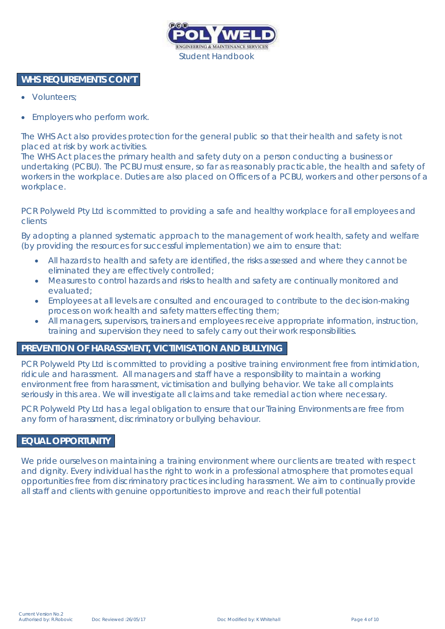

#### <span id="page-3-0"></span>**WHS REQUIREMENTS CON'T**

- Volunteers:
- Employers who perform work.

The WHS Act also provides protection for the general public so that their health and safety is not placed at risk by work activities.

The WHS Act places the primary health and safety duty on a person conducting a business or undertaking (PCBU). The PCBU must ensure, so far as reasonably practicable, the health and safety of workers in the workplace. Duties are also placed on Officers of a PCBU, workers and other persons of a workplace.

PCR Polyweld Pty Ltd is committed to providing a safe and healthy workplace for all employees and clients

By adopting a planned systematic approach to the management of work health, safety and welfare (by providing the resources for successful implementation) we aim to ensure that:

- All hazards to health and safety are identified, the risks assessed and where they cannot be eliminated they are effectively controlled;
- Measures to control hazards and risks to health and safety are continually monitored and evaluated;
- Employees at all levels are consulted and encouraged to contribute to the decision-making process on work health and safety matters effecting them;
- All managers, supervisors, trainers and employees receive appropriate information, instruction, training and supervision they need to safely carry out their work responsibilities.

#### <span id="page-3-1"></span>**PREVENTION OF HARASSMENT, VICTIMISATION AND BULLYING**

PCR Polyweld Pty Ltd is committed to providing a positive training environment free from intimidation, ridicule and harassment. All managers and staff have a responsibility to maintain a working environment free from harassment, victimisation and bullying behavior. We take all complaints seriously in this area. We will investigate all claims and take remedial action where necessary.

PCR Polyweld Pty Ltd has a legal obligation to ensure that our Training Environments are free from any form of harassment, discriminatory or bullying behaviour.

#### <span id="page-3-2"></span>**EQUAL OPPORTUNITY**

We pride ourselves on maintaining a training environment where our clients are treated with respect and dignity. Every individual has the right to work in a professional atmosphere that promotes equal opportunities free from discriminatory practices including harassment. We aim to continually provide all staff and clients with genuine opportunities to improve and reach their full potential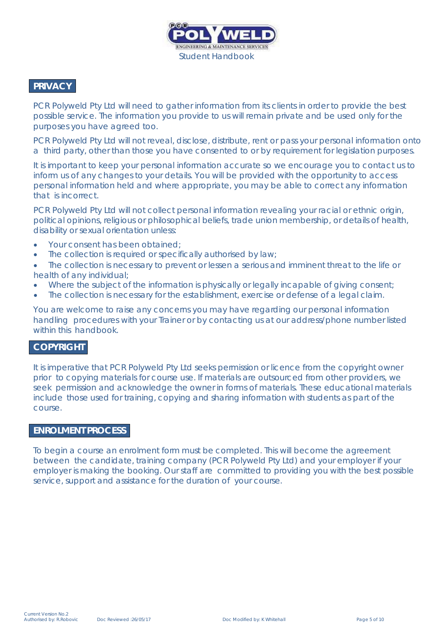

#### <span id="page-4-0"></span>**PRIVACY**

PCR Polyweld Pty Ltd will need to gather information from its clients in order to provide the best possible service. The information you provide to us will remain private and be used only for the purposes you have agreed too.

PCR Polyweld Pty Ltd will not reveal, disclose, distribute, rent or pass your personal information onto a third party, other than those you have consented to or by requirement for legislation purposes.

It is important to keep your personal information accurate so we encourage you to contact us to inform us of any changes to your details. You will be provided with the opportunity to access personal information held and where appropriate, you may be able to correct any information that is incorrect.

PCR Polyweld Pty Ltd will not collect personal information revealing your racial or ethnic origin, political opinions, religious or philosophical beliefs, trade union membership, or details of health, disability or sexual orientation unless:

- Your consent has been obtained;
- The collection is required or specifically authorised by law;
- The collection is necessary to prevent or lessen a serious and imminent threat to the life or health of any individual;
- Where the subject of the information is physically or legally incapable of giving consent;
- The collection is necessary for the establishment, exercise or defense of a legal claim.

You are welcome to raise any concerns you may have regarding our personal information handling procedures with your Trainer or by contacting us at our address/phone number listed within this handbook.

#### <span id="page-4-1"></span>**COPYRIGHT**

It is imperative that PCR Polyweld Pty Ltd seeks permission or licence from the copyright owner prior to copying materials for course use. If materials are outsourced from other providers, we seek permission and acknowledge the owner in forms of materials. These educational materials include those used for training, copying and sharing information with students as part of the course.

#### <span id="page-4-2"></span>**ENROLMENT PROCESS**

To begin a course an enrolment form must be completed. This will become the agreement between the candidate, training company (PCR Polyweld Pty Ltd) and your employer if your employer is making the booking. Our staff are committed to providing you with the best possible service, support and assistance for the duration of your course.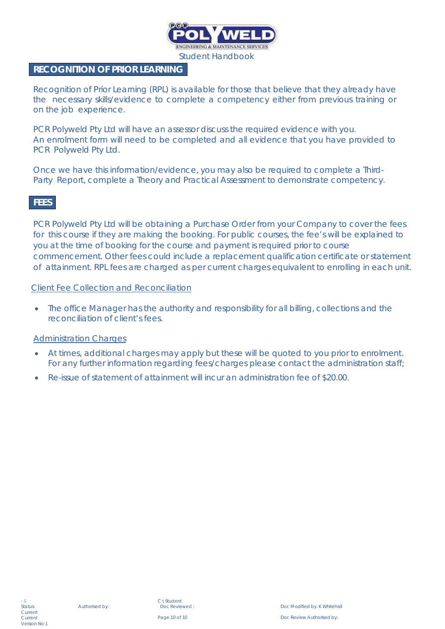

#### <span id="page-5-0"></span>**RECOGNITION OF PRIOR LEARNING**

Recognition of Prior Learning (RPL) is available for those that believe that they already have the necessary skills/evidence to complete a competency either from previous training or on the job experience.

PCR Polyweld Pty Ltd will have an assessor discuss the required evidence with you. An enrolment form will need to be completed and all evidence that you have provided to PCR Polyweld Pty Ltd.

Once we have this information/evidence, you may also be required to complete a Third-Party Report, complete a Theory and Practical Assessment to demonstrate competency.

#### <span id="page-5-1"></span>**FEES**

PCR Polyweld Pty Ltd will be obtaining a Purchase Order from your Company to cover the fees for this course if they are making the booking. For public courses, the fee's will be explained to you at the time of booking for the course and payment is required prior to course commencement. Other fees could include a replacement qualification certificate or statement of attainment. RPL fees are charged as per current charges equivalent to enrolling in each unit.

#### Client Fee Collection and Reconciliation

The office Manager has the authority and responsibility for all billing, collections and the reconciliation of client's fees.

#### Administration Charges

- At times, additional charges may apply but these will be quoted to you prior to enrolment. For any further information regarding fees/charges please contact the administration staff;
- Re-issue of statement of attainment will incur an administration fee of \$20.00.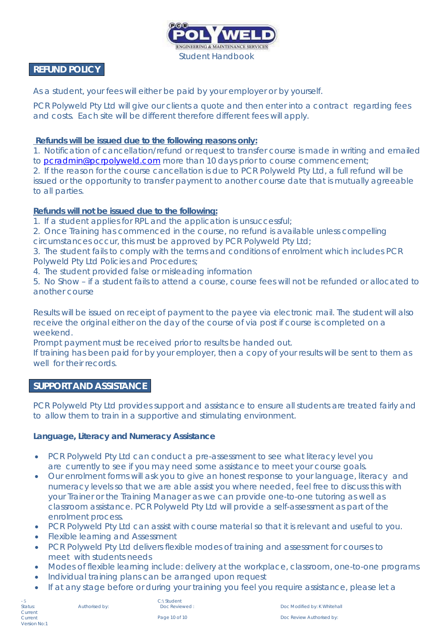

#### <span id="page-6-0"></span>**REFUND POLICY**

As a student, your fees will either be paid by your employer or by yourself.

PCR Polyweld Pty Ltd will give our clients a quote and then enter into a contract regarding fees and costs. Each site will be different therefore different fees will apply.

#### **Refunds will be issued due to the following reasons only:**

1. Notification of cancellation/refund or request to transfer course is made in writing and emailed to [pcradmin@pcrpolyweld.com](mailto:pcradmin@pcrpolyweld.com) more than 10 days prior to course commencement;

2. If the reason for the course cancellation is due to PCR Polyweld Pty Ltd, a full refund will be issued or the opportunity to transfer payment to another course date that is mutually agreeable to all parties.

#### **Refunds will** *not* **be issued due to the following:**

- 1. If a student applies for RPL and the application is unsuccessful;
- 2. Once Training has commenced in the course, no refund is available unless compelling circumstances occur, this must be approved by PCR Polyweld Pty Ltd;
- 3. The student fails to comply with the terms and conditions of enrolment which includes PCR Polyweld Pty Ltd Policies and Procedures;
- 4. The student provided false or misleading information
- 5. No Show if a student fails to attend a course, course fees will not be refunded or allocated to another course

Results will be issued on receipt of payment to the payee via electronic mail. The student will also receive the original either on the day of the course of via post if course is completed on a weekend.

Prompt payment must be received prior to results be handed out.

If training has been paid for by your employer, then a copy of your results will be sent to them as well for their records.

#### <span id="page-6-1"></span>**SUPPORT AND ASSISTANCE**

PCR Polyweld Pty Ltd provides support and assistance to ensure all students are treated fairly and to allow them to train in a supportive and stimulating environment.

#### **Language, Literacy and Numeracy Assistance**

- PCR Polyweld Pty Ltd can conduct a pre-assessment to see what literacy level you are currently to see if you may need some assistance to meet your course goals.
- Our enrolment forms will ask you to give an honest response to your language, literacy and numeracy levels so that we are able assist you where needed, feel free to discuss this with your Trainer or the Training Manager as we can provide one-to-one tutoring as well as classroom assistance. PCR Polyweld Pty Ltd will provide a self-assessment as part of the enrolment process.
- PCR Polyweld Pty Ltd can assist with course material so that it is relevant and useful to you.
- Flexible learning and Assessment
- PCR Polyweld Pty Ltd delivers flexible modes of training and assessment for courses to meet with students needs
- Modes of flexible learning include: delivery at the workplace, classroom, one-to-one programs
- Individual training plans can be arranged upon request
- If at any stage before or during your training you feel you require assistance, please let a

C:\Student<br>Doc Reviewed

Authorised by: Doc Reviewed : Doc Modified by: K Whitehall Page 10 of 10 **Doce Review Authorised by:** Doc. Review Authorised by: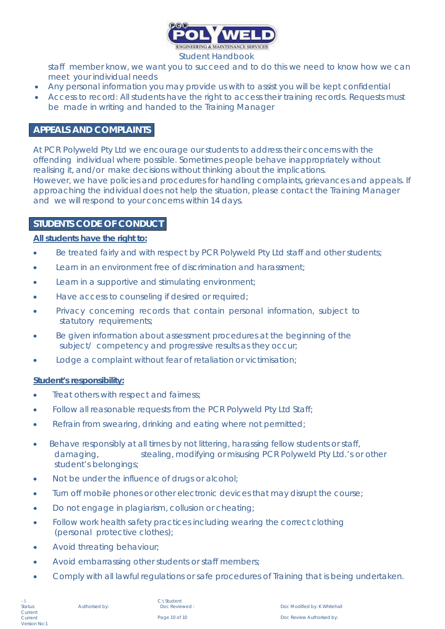

staff member know, we want you to succeed and to do this we need to know how we can meet your individual needs

- Any personal information you may provide us with to assist you will be kept confidential
- Access to record: All students have the right to access their training records. Requests must be made in writing and handed to the Training Manager

#### <span id="page-7-0"></span>**APPEALS AND COMPLAINTS**

At PCR Polyweld Pty Ltd we encourage our students to address their concerns with the offending individual where possible. Sometimes people behave inappropriately without realising it, and/or make decisions without thinking about the implications. However, we have policies and procedures for handling complaints, grievances and appeals. If approaching the individual does not help the situation, please contact the Training Manager and we will respond to your concerns within 14 days.

#### <span id="page-7-1"></span>**STUDENTS CODE OF CONDUCT**

#### **All students have the right to:**

- Be treated fairly and with respect by PCR Polyweld Pty Ltd staff and other students;
- Learn in an environment free of discrimination and harassment;
- Learn in a supportive and stimulating environment;
- Have access to counseling if desired or required;
- Privacy concerning records that contain personal information, subject to statutory requirements;
- Be given information about assessment procedures at the beginning of the subject/ competency and progressive results as they occur;
- Lodge a complaint without fear of retaliation or victimisation;

#### **Student's responsibility:**

- Treat others with respect and fairness;
- Follow all reasonable requests from the PCR Polyweld Pty Ltd Staff;
- Refrain from swearing, drinking and eating where not permitted;
- Behave responsibly at all times by not littering, harassing fellow students or staff, damaging, stealing, modifying or misusing PCR Polyweld Pty Ltd.'s or other student's belongings;
- Not be under the influence of drugs or alcohol;
- Turn off mobile phones or other electronic devices that may disrupt the course;
- Do not engage in plagiarism, collusion or cheating;
- Follow work health safety practices including wearing the correct clothing (personal protective clothes);
- Avoid threating behaviour;
- Avoid embarrassing other students or staff members;
- Comply with all lawful regulations or safe procedures of Training that is being undertaken.

C:\Student<br>Doc Reviewed:

Authorised by: Doc Reviewed : Doc Modified by: K Whitehall Page 10 of 10 **Doce Review Authorised by:** Doc. Review Authorised by: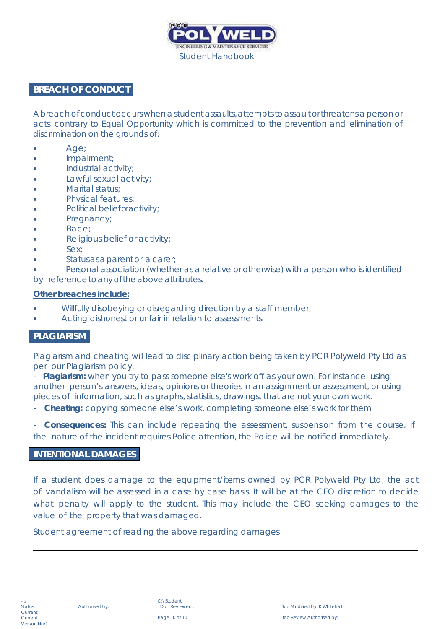

#### <span id="page-8-0"></span>**BREACH OF CONDUCT**

A breach of conduct occurs when a student assaults, attempts to assault or threatens a person or acts contrary to Equal Opportunity which is committed to the prevention and elimination of discrimination on the grounds of:

- Age;
- Impairment;
- Industrial activity;
- Lawful sexual activity;
- Marital status;
- Physical features;
- Political belief or activity;
- Pregnancy;
- Race;
- Religious belief or activity;
- Sex:
- Status as a parent or a carer;
- Personal association (whether as a relative or otherwise) with a person who is identified

by reference to any of the above attributes.

#### **Other breaches include:**

- Willfully disobeying or disregarding direction by a staff member;
- Acting dishonest or unfair in relation to assessments.

#### <span id="page-8-1"></span>**PLAGIARISM**

Plagiarism and cheating will lead to disciplinary action being taken by PCR Polyweld Pty Ltd as per our Plagiarism policy.

**Plagiarism:** when you try to pass someone else's work off as your own. For instance: using another person's answers, ideas, opinions or theories in an assignment or assessment, or using pieces of information, such as graphs, statistics, drawings, that are not your own work.

**Cheating:** copying someone else's work, completing someone else's work for them

- **Consequences:** This can include repeating the assessment, suspension from the course. If the nature of the incident requires Police attention, the Police will be notified immediately.

#### <span id="page-8-2"></span>**INTENTIONAL DAMAGES**

If a student does damage to the equipment/items owned by PCR Polyweld Pty Ltd, the act of vandalism will be assessed in a case by case basis. It will be at the CEO discretion to decide what penalty will apply to the student. This may include the CEO seeking damages to the value of the property that was damaged.

Student agreement of reading the above regarding damages

C:\Student<br>Doc Reviewed: